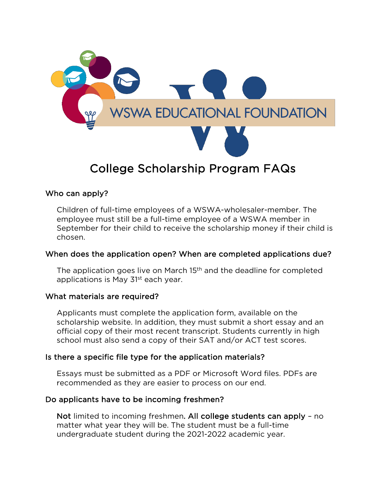

# College Scholarship Program FAQs

## Who can apply?

Children of full-time employees of a WSWA-wholesaler-member. The employee must still be a full-time employee of a WSWA member in September for their child to receive the scholarship money if their child is chosen.

## When does the application open? When are completed applications due?

The application goes live on March 15<sup>th</sup> and the deadline for completed applications is May 31<sup>st</sup> each year.

## What materials are required?

Applicants must complete the application form, available on the scholarship website. In addition, they must submit a short essay and an official copy of their most recent transcript. Students currently in high school must also send a copy of their SAT and/or ACT test scores.

# Is there a specific file type for the application materials?

Essays must be submitted as a PDF or Microsoft Word files. PDFs are recommended as they are easier to process on our end.

## Do applicants have to be incoming freshmen?

Not limited to incoming freshmen. All college students can apply – no matter what year they will be. The student must be a full-time undergraduate student during the 2021-2022 academic year.